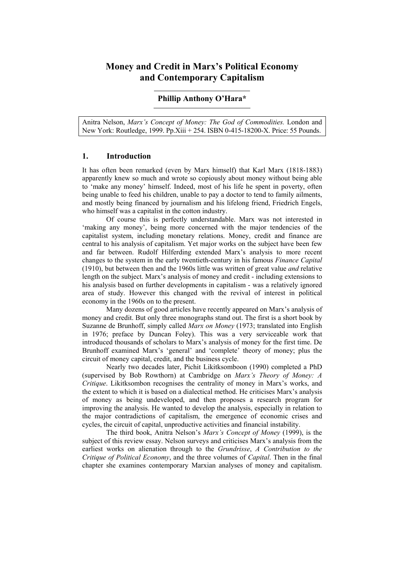# **Money and Credit in Marx's Political Economy and Contemporary Capitalism**

# **Phillip Anthony O'Hara\***

Anitra Nelson, *Marx's Concept of Money: The God of Commodities.* London and New York: Routledge, 1999. Pp.Xiii + 254. ISBN 0-415-18200-X. Price: 55 Pounds.

# **1. Introduction**

It has often been remarked (even by Marx himself) that Karl Marx (1818-1883) apparently knew so much and wrote so copiously about money without being able to 'make any money' himself. Indeed, most of his life he spent in poverty, often being unable to feed his children, unable to pay a doctor to tend to family ailments, and mostly being financed by journalism and his lifelong friend, Friedrich Engels, who himself was a capitalist in the cotton industry.

Of course this is perfectly understandable. Marx was not interested in 'making any money', being more concerned with the major tendencies of the capitalist system, including monetary relations. Money, credit and finance are central to his analysis of capitalism. Yet major works on the subject have been few and far between. Rudolf Hilferding extended Marx's analysis to more recent changes to the system in the early twentieth-century in his famous *Finance Capital*  (1910), but between then and the 1960s little was written of great value *and* relative length on the subject. Marx's analysis of money and credit - including extensions to his analysis based on further developments in capitalism - was a relatively ignored area of study. However this changed with the revival of interest in political economy in the 1960s on to the present.

Many dozens of good articles have recently appeared on Marx's analysis of money and credit. But only three monographs stand out. The first is a short book by Suzanne de Brunhoff, simply called *Marx on Money* (1973; translated into English in 1976; preface by Duncan Foley). This was a very serviceable work that introduced thousands of scholars to Marx's analysis of money for the first time. De Brunhoff examined Marx's 'general' and 'complete' theory of money; plus the circuit of money capital, credit, and the business cycle.

Nearly two decades later, Pichit Likitksomboon (1990) completed a PhD (supervised by Bob Rowthorn) at Cambridge on *Marx's Theory of Money: A Critique*. Likitksombon recognises the centrality of money in Marx's works, and the extent to which it is based on a dialectical method. He criticises Marx's analysis of money as being undeveloped, and then proposes a research program for improving the analysis. He wanted to develop the analysis, especially in relation to the major contradictions of capitalism, the emergence of economic crises and cycles, the circuit of capital, unproductive activities and financial instability.

The third book, Anitra Nelson's *Marx's Concept of Money* (1999), is the subject of this review essay. Nelson surveys and criticises Marx's analysis from the earliest works on alienation through to the *Grundrisse*, *A Contribution to the Critique of Political Economy*, and the three volumes of *Capital*. Then in the final chapter she examines contemporary Marxian analyses of money and capitalism.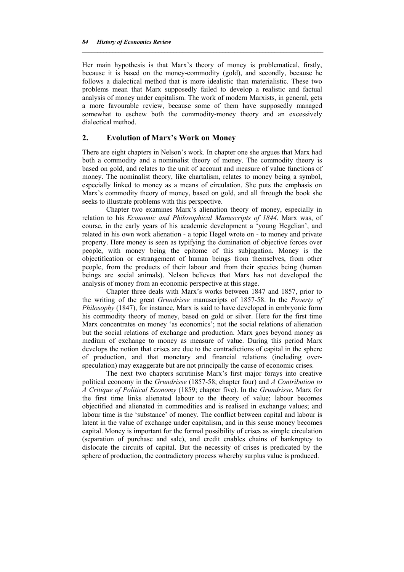Her main hypothesis is that Marx's theory of money is problematical, firstly, because it is based on the money-commodity (gold), and secondly, because he follows a dialectical method that is more idealistic than materialistic. These two problems mean that Marx supposedly failed to develop a realistic and factual analysis of money under capitalism. The work of modern Marxists, in general, gets a more favourable review, because some of them have supposedly managed somewhat to eschew both the commodity-money theory and an excessively dialectical method.

# **2. Evolution of Marx's Work on Money**

There are eight chapters in Nelson's work. In chapter one she argues that Marx had both a commodity and a nominalist theory of money. The commodity theory is based on gold, and relates to the unit of account and measure of value functions of money. The nominalist theory, like chartalism, relates to money being a symbol, especially linked to money as a means of circulation. She puts the emphasis on Marx's commodity theory of money, based on gold, and all through the book she seeks to illustrate problems with this perspective.

Chapter two examines Marx's alienation theory of money, especially in relation to his *Economic and Philosophical Manuscripts of 1844*. Marx was, of course, in the early years of his academic development a 'young Hegelian', and related in his own work alienation - a topic Hegel wrote on - to money and private property. Here money is seen as typifying the domination of objective forces over people, with money being the epitome of this subjugation. Money is the objectification or estrangement of human beings from themselves, from other people, from the products of their labour and from their species being (human beings are social animals). Nelson believes that Marx has not developed the analysis of money from an economic perspective at this stage.

Chapter three deals with Marx's works between 1847 and 1857, prior to the writing of the great *Grundrisse* manuscripts of 1857-58. In the *Poverty of Philosophy* (1847), for instance, Marx is said to have developed in embryonic form his commodity theory of money, based on gold or silver. Here for the first time Marx concentrates on money 'as economics'; not the social relations of alienation but the social relations of exchange and production. Marx goes beyond money as medium of exchange to money as measure of value. During this period Marx develops the notion that crises are due to the contradictions of capital in the sphere of production, and that monetary and financial relations (including overspeculation) may exaggerate but are not principally the cause of economic crises.

The next two chapters scrutinise Marx's first major forays into creative political economy in the *Grundrisse* (1857-58; chapter four) and *A Contribution to A Critique of Political Economy* (1859; chapter five). In the *Grundrisse*, Marx for the first time links alienated labour to the theory of value; labour becomes objectified and alienated in commodities and is realised in exchange values; and labour time is the 'substance' of money. The conflict between capital and labour is latent in the value of exchange under capitalism, and in this sense money becomes capital. Money is important for the formal possibility of crises as simple circulation (separation of purchase and sale), and credit enables chains of bankruptcy to dislocate the circuits of capital. But the necessity of crises is predicated by the sphere of production, the contradictory process whereby surplus value is produced.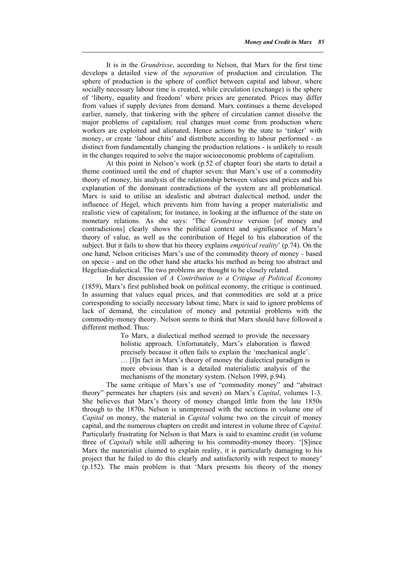It is in the *Grundrisse*, according to Nelson, that Marx for the first time develops a detailed view of the *separation* of production and circulation. The sphere of production is the sphere of conflict between capital and labour, where socially necessary labour time is created, while circulation (exchange) is the sphere of 'liberty, equality and freedom' where prices are generated. Prices may differ from values if supply deviates from demand. Marx continues a theme developed earlier, namely, that tinkering with the sphere of circulation cannot dissolve the major problems of capitalism; real changes must come from production where workers are exploited and alienated. Hence actions by the state to 'tinker' with money, or create 'labour chits' and distribute according to labour performed - as distinct from fundamentally changing the production relations - is unlikely to result in the changes required to solve the major socioeconomic problems of capitalism.

At this point in Nelson's work (p.52 of chapter four) she starts to detail a theme continued until the end of chapter seven: that Marx's use of a commodity theory of money, his analysis of the relationship between values and prices and his explanation of the dominant contradictions of the system are all problematical. Marx is said to utilise an idealistic and abstract dialectical method, under the influence of Hegel, which prevents him from having a proper materialistic and realistic view of capitalism; for instance, in looking at the influence of the state on monetary relations. As she says: 'The *Grundrisse* version [of money and contradictions] clearly shows the political context and significance of Marx's theory of value, as well as the contribution of Hegel to his elaboration of the subject. But it fails to show that his theory explains *empirical reality*' (p.74). On the one hand, Nelson criticises Marx's use of the commodity theory of money - based on specie - and on the other hand she attacks his method as being too abstract and Hegelian-dialectical. The two problems are thought to be closely related.

In her discussion of *A Contribution to a Critique of Political Economy* (1859), Marx's first published book on political economy, the critique is continued. In assuming that values equal prices, and that commodities are sold at a price corresponding to socially necessary labour time, Marx is said to ignore problems of lack of demand, the circulation of money and potential problems with the commodity-money theory. Nelson seems to think that Marx should have followed a different method. Thus:

> To Marx, a dialectical method seemed to provide the necessary holistic approach. Unfortunately, Marx's elaboration is flawed precisely because it often fails to explain the 'mechanical angle'. … [I]n fact in Marx's theory of money the dialectical paradigm is more obvious than is a detailed materialistic analysis of the mechanisms of the monetary system. (Nelson 1999, p.94).

The same critique of Marx's use of "commodity money" and "abstract theory" permeates her chapters (six and seven) on Marx's *Capital*, volumes 1-3. She believes that Marx's theory of money changed little from the late 1850s through to the 1870s. Nelson is unimpressed with the sections in volume one of *Capital* on money, the material in *Capital* volume two on the circuit of money capital, and the numerous chapters on credit and interest in volume three of *Capital*. Particularly frustrating for Nelson is that Marx is said to examine credit (in volume three of *Capital*) while still adhering to his commodity-money theory. '[S]ince Marx the materialist claimed to explain reality, it is particularly damaging to his project that he failed to do this clearly and satisfactorily with respect to money' (p.152). The main problem is that 'Marx presents his theory of the money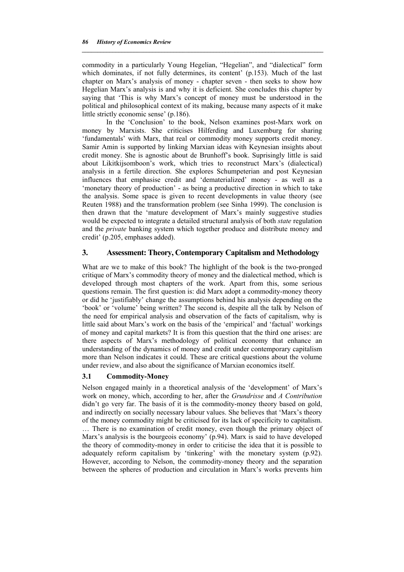commodity in a particularly Young Hegelian, "Hegelian", and "dialectical" form which dominates, if not fully determines, its content' (p.153). Much of the last chapter on Marx's analysis of money - chapter seven - then seeks to show how Hegelian Marx's analysis is and why it is deficient. She concludes this chapter by saying that 'This is why Marx's concept of money must be understood in the political and philosophical context of its making, because many aspects of it make little strictly economic sense' (p.186).

In the 'Conclusion' to the book, Nelson examines post-Marx work on money by Marxists. She criticises Hilferding and Luxemburg for sharing 'fundamentals' with Marx, that real or commodity money supports credit money. Samir Amin is supported by linking Marxian ideas with Keynesian insights about credit money. She is agnostic about de Brunhoff's book. Suprisingly little is said about Likitkijsomboon's work, which tries to reconstruct Marx's (dialectical) analysis in a fertile direction. She explores Schumpeterian and post Keynesian influences that emphasise credit and 'dematerialized' money - as well as a 'monetary theory of production' - as being a productive direction in which to take the analysis. Some space is given to recent developments in value theory (see Reuten 1988) and the transformation problem (see Sinha 1999). The conclusion is then drawn that the 'mature development of Marx's mainly suggestive studies would be expected to integrate a detailed structural analysis of both *state* regulation and the *private* banking system which together produce and distribute money and credit' (p.205, emphases added).

### **3. Assessment: Theory, Contemporary Capitalism and Methodology**

What are we to make of this book? The highlight of the book is the two-pronged critique of Marx's commodity theory of money and the dialectical method, which is developed through most chapters of the work. Apart from this, some serious questions remain. The first question is: did Marx adopt a commodity-money theory or did he 'justifiably' change the assumptions behind his analysis depending on the 'book' or 'volume' being written? The second is, despite all the talk by Nelson of the need for empirical analysis and observation of the facts of capitalism, why is little said about Marx's work on the basis of the 'empirical' and 'factual' workings of money and capital markets? It is from this question that the third one arises: are there aspects of Marx's methodology of political economy that enhance an understanding of the dynamics of money and credit under contemporary capitalism more than Nelson indicates it could. These are critical questions about the volume under review, and also about the significance of Marxian economics itself.

### **3.1 Commodity-Money**

Nelson engaged mainly in a theoretical analysis of the 'development' of Marx's work on money, which, according to her, after the *Grundrisse* and *A Contribution*  didn't go very far. The basis of it is the commodity-money theory based on gold, and indirectly on socially necessary labour values. She believes that 'Marx's theory of the money commodity might be criticised for its lack of specificity to capitalism.

… There is no examination of credit money, even though the primary object of Marx's analysis is the bourgeois economy' (p.94). Marx is said to have developed the theory of commodity-money in order to criticise the idea that it is possible to adequately reform capitalism by 'tinkering' with the monetary system (p.92). However, according to Nelson, the commodity-money theory and the separation between the spheres of production and circulation in Marx's works prevents him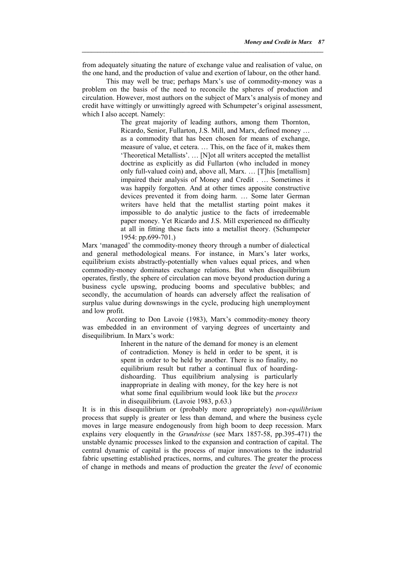from adequately situating the nature of exchange value and realisation of value, on the one hand, and the production of value and exertion of labour, on the other hand.

This may well be true; perhaps Marx's use of commodity-money was a problem on the basis of the need to reconcile the spheres of production and circulation. However, most authors on the subject of Marx's analysis of money and credit have wittingly or unwittingly agreed with Schumpeter's original assessment, which I also accept. Namely:

> The great majority of leading authors, among them Thornton, Ricardo, Senior, Fullarton, J.S. Mill, and Marx, defined money … as a commodity that has been chosen for means of exchange, measure of value, et cetera. … This, on the face of it, makes them 'Theoretical Metallists'. … [N]ot all writers accepted the metallist doctrine as explicitly as did Fullarton (who included in money only full-valued coin) and, above all, Marx. … [T]his [metallism] impaired their analysis of Money and Credit . … Sometimes it was happily forgotten. And at other times apposite constructive devices prevented it from doing harm. … Some later German writers have held that the metallist starting point makes it impossible to do analytic justice to the facts of irredeemable paper money. Yet Ricardo and J.S. Mill experienced no difficulty at all in fitting these facts into a metallist theory. (Schumpeter 1954: pp.699-701.)

Marx 'managed' the commodity-money theory through a number of dialectical and general methodological means. For instance, in Marx's later works, equilibrium exists abstractly-potentially when values equal prices, and when commodity-money dominates exchange relations. But when disequilibrium operates, firstly, the sphere of circulation can move beyond production during a business cycle upswing, producing booms and speculative bubbles; and secondly, the accumulation of hoards can adversely affect the realisation of surplus value during downswings in the cycle, producing high unemployment and low profit.

According to Don Lavoie (1983), Marx's commodity-money theory was embedded in an environment of varying degrees of uncertainty and disequilibrium. In Marx's work:

> Inherent in the nature of the demand for money is an element of contradiction. Money is held in order to be spent, it is spent in order to be held by another. There is no finality, no equilibrium result but rather a continual flux of hoardingdishoarding. Thus equilibrium analysing is particularly inappropriate in dealing with money, for the key here is not what some final equilibrium would look like but the *process* in disequilibrium. (Lavoie 1983, p.63.)

It is in this disequilibrium or (probably more appropriately) *non-equilibrium* process that supply is greater or less than demand, and where the business cycle moves in large measure endogenously from high boom to deep recession. Marx explains very eloquently in the *Grundrisse* (see Marx 1857-58, pp.395-471) the unstable dynamic processes linked to the expansion and contraction of capital. The central dynamic of capital is the process of major innovations to the industrial fabric upsetting established practices, norms, and cultures. The greater the process of change in methods and means of production the greater the *level* of economic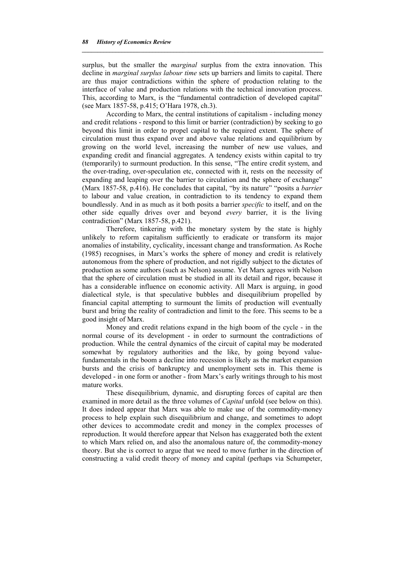surplus, but the smaller the *marginal* surplus from the extra innovation. This decline in *marginal surplus labour time* sets up barriers and limits to capital. There are thus major contradictions within the sphere of production relating to the interface of value and production relations with the technical innovation process. This, according to Marx, is the "fundamental contradiction of developed capital" (see Marx 1857-58, p.415; O'Hara 1978, ch.3).

According to Marx, the central institutions of capitalism - including money and credit relations - respond to this limit or barrier (contradiction) by seeking to go beyond this limit in order to propel capital to the required extent. The sphere of circulation must thus expand over and above value relations and equilibrium by growing on the world level, increasing the number of new use values, and expanding credit and financial aggregates. A tendency exists within capital to try (temporarily) to surmount production. In this sense, "The entire credit system, and the over-trading, over-speculation etc, connected with it, rests on the necessity of expanding and leaping over the barrier to circulation and the sphere of exchange" (Marx 1857-58, p.416). He concludes that capital, "by its nature" "posits a *barrier*  to labour and value creation, in contradiction to its tendency to expand them boundlessly. And in as much as it both posits a barrier *specific* to itself, and on the other side equally drives over and beyond *every* barrier, it is the living contradiction" (Marx 1857-58, p.421).

Therefore, tinkering with the monetary system by the state is highly unlikely to reform capitalism sufficiently to eradicate or transform its major anomalies of instability, cyclicality, incessant change and transformation. As Roche (1985) recognises, in Marx's works the sphere of money and credit is relatively autonomous from the sphere of production, and not rigidly subject to the dictates of production as some authors (such as Nelson) assume. Yet Marx agrees with Nelson that the sphere of circulation must be studied in all its detail and rigor, because it has a considerable influence on economic activity. All Marx is arguing, in good dialectical style, is that speculative bubbles and disequilibrium propelled by financial capital attempting to surmount the limits of production will eventually burst and bring the reality of contradiction and limit to the fore. This seems to be a good insight of Marx.

Money and credit relations expand in the high boom of the cycle - in the normal course of its development - in order to surmount the contradictions of production. While the central dynamics of the circuit of capital may be moderated somewhat by regulatory authorities and the like, by going beyond valuefundamentals in the boom a decline into recession is likely as the market expansion bursts and the crisis of bankruptcy and unemployment sets in. This theme is developed - in one form or another - from Marx's early writings through to his most mature works.

These disequilibrium, dynamic, and disrupting forces of capital are then examined in more detail as the three volumes of *Capital* unfold (see below on this). It does indeed appear that Marx was able to make use of the commodity-money process to help explain such disequilibrium and change, and sometimes to adopt other devices to accommodate credit and money in the complex processes of reproduction. It would therefore appear that Nelson has exaggerated both the extent to which Marx relied on, and also the anomalous nature of, the commodity-money theory. But she is correct to argue that we need to move further in the direction of constructing a valid credit theory of money and capital (perhaps via Schumpeter,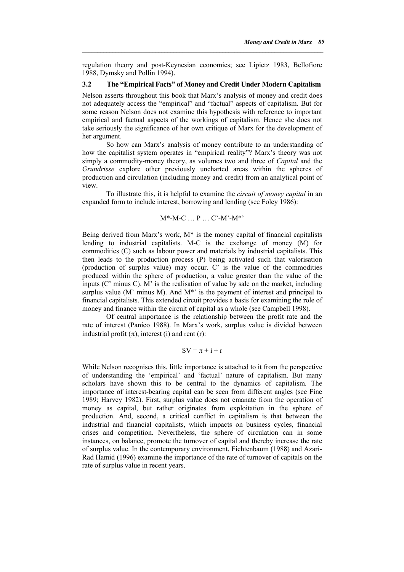regulation theory and post-Keynesian economics; see Lipietz 1983, Bellofiore 1988, Dymsky and Pollin 1994).

#### **3.2 The "Empirical Facts" of Money and Credit Under Modern Capitalism**

Nelson asserts throughout this book that Marx's analysis of money and credit does not adequately access the "empirical" and "factual" aspects of capitalism. But for some reason Nelson does not examine this hypothesis with reference to important empirical and factual aspects of the workings of capitalism. Hence she does not take seriously the significance of her own critique of Marx for the development of her argument.

So how can Marx's analysis of money contribute to an understanding of how the capitalist system operates in "empirical reality"? Marx's theory was not simply a commodity-money theory, as volumes two and three of *Capital* and the *Grundrisse* explore other previously uncharted areas within the spheres of production and circulation (including money and credit) from an analytical point of view.

To illustrate this, it is helpful to examine the *circuit of money capital* in an expanded form to include interest, borrowing and lending (see Foley 1986):

## M\*-M-C … P … C'-M'-M\*'

Being derived from Marx's work, M\* is the money capital of financial capitalists lending to industrial capitalists. M-C is the exchange of money (M) for commodities (C) such as labour power and materials by industrial capitalists. This then leads to the production process (P) being activated such that valorisation (production of surplus value) may occur. C' is the value of the commodities produced within the sphere of production, a value greater than the value of the inputs (C' minus C). M' is the realisation of value by sale on the market, including surplus value ( $M'$  minus  $M$ ). And  $M^*$  is the payment of interest and principal to financial capitalists. This extended circuit provides a basis for examining the role of money and finance within the circuit of capital as a whole (see Campbell 1998).

Of central importance is the relationship between the profit rate and the rate of interest (Panico 1988). In Marx's work, surplus value is divided between industrial profit  $(\pi)$ , interest (i) and rent (r):

## $SV = \pi + i + r$

While Nelson recognises this, little importance is attached to it from the perspective of understanding the 'empirical' and 'factual' nature of capitalism. But many scholars have shown this to be central to the dynamics of capitalism. The importance of interest-bearing capital can be seen from different angles (see Fine 1989; Harvey 1982). First, surplus value does not emanate from the operation of money as capital, but rather originates from exploitation in the sphere of production. And, second, a critical conflict in capitalism is that between the industrial and financial capitalists, which impacts on business cycles, financial crises and competition. Nevertheless, the sphere of circulation can in some instances, on balance, promote the turnover of capital and thereby increase the rate of surplus value. In the contemporary environment, Fichtenbaum (1988) and Azari-Rad Hamid (1996) examine the importance of the rate of turnover of capitals on the rate of surplus value in recent years.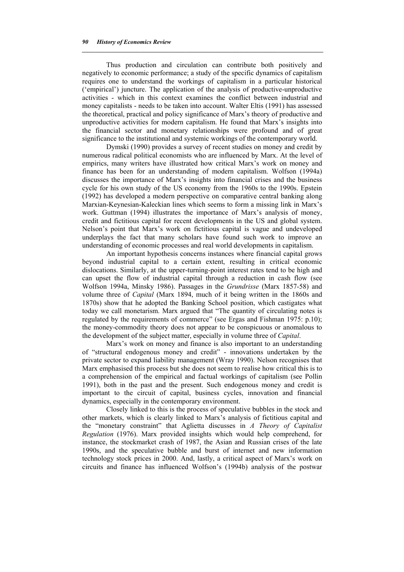Thus production and circulation can contribute both positively and negatively to economic performance; a study of the specific dynamics of capitalism requires one to understand the workings of capitalism in a particular historical ('empirical') juncture. The application of the analysis of productive-unproductive activities - which in this context examines the conflict between industrial and money capitalists - needs to be taken into account. Walter Eltis (1991) has assessed the theoretical, practical and policy significance of Marx's theory of productive and unproductive activities for modern capitalism. He found that Marx's insights into the financial sector and monetary relationships were profound and of great significance to the institutional and systemic workings of the contemporary world.

Dymski (1990) provides a survey of recent studies on money and credit by numerous radical political economists who are influenced by Marx. At the level of empirics, many writers have illustrated how critical Marx's work on money and finance has been for an understanding of modern capitalism. Wolfson (1994a) discusses the importance of Marx's insights into financial crises and the business cycle for his own study of the US economy from the 1960s to the 1990s. Epstein (1992) has developed a modern perspective on comparative central banking along Marxian-Keynesian-Kaleckian lines which seems to form a missing link in Marx's work. Guttman (1994) illustrates the importance of Marx's analysis of money, credit and fictitious capital for recent developments in the US and global system. Nelson's point that Marx's work on fictitious capital is vague and undeveloped underplays the fact that many scholars have found such work to improve an understanding of economic processes and real world developments in capitalism.

An important hypothesis concerns instances where financial capital grows beyond industrial capital to a certain extent, resulting in critical economic dislocations. Similarly, at the upper-turning-point interest rates tend to be high and can upset the flow of industrial capital through a reduction in cash flow (see Wolfson 1994a, Minsky 1986). Passages in the *Grundrisse* (Marx 1857-58) and volume three of *Capital* (Marx 1894, much of it being written in the 1860s and 1870s) show that he adopted the Banking School position, which castigates what today we call monetarism. Marx argued that "The quantity of circulating notes is regulated by the requirements of commerce" (see Ergas and Fishman 1975: p.10); the money-commodity theory does not appear to be conspicuous or anomalous to the development of the subject matter, especially in volume three of *Capital*.

Marx's work on money and finance is also important to an understanding of "structural endogenous money and credit" - innovations undertaken by the private sector to expand liability management (Wray 1990). Nelson recognises that Marx emphasised this process but she does not seem to realise how critical this is to a comprehension of the empirical and factual workings of capitalism (see Pollin 1991), both in the past and the present. Such endogenous money and credit is important to the circuit of capital, business cycles, innovation and financial dynamics, especially in the contemporary environment.

Closely linked to this is the process of speculative bubbles in the stock and other markets, which is clearly linked to Marx's analysis of fictitious capital and the "monetary constraint" that Aglietta discusses in *A Theory of Capitalist Regulation* (1976). Marx provided insights which would help comprehend, for instance, the stockmarket crash of 1987, the Asian and Russian crises of the late 1990s, and the speculative bubble and burst of internet and new information technology stock prices in 2000. And, lastly, a critical aspect of Marx's work on circuits and finance has influenced Wolfson's (1994b) analysis of the postwar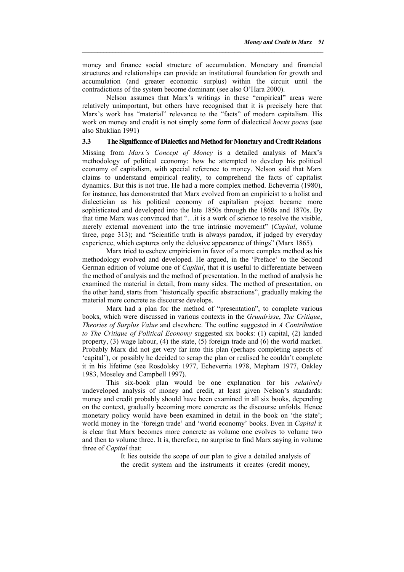money and finance social structure of accumulation. Monetary and financial structures and relationships can provide an institutional foundation for growth and accumulation (and greater economic surplus) within the circuit until the contradictions of the system become dominant (see also O'Hara 2000).

Nelson assumes that Marx's writings in these "empirical" areas were relatively unimportant, but others have recognised that it is precisely here that Marx's work has "material" relevance to the "facts" of modern capitalism. His work on money and credit is not simply some form of dialectical *hocus pocus* (see also Shuklian 1991)

## **3.3 The Significance of Dialectics and Method for Monetary and Credit Relations**

Missing from *Marx's Concept of Money* is a detailed analysis of Marx's methodology of political economy: how he attempted to develop his political economy of capitalism, with special reference to money. Nelson said that Marx claims to understand empirical reality, to comprehend the facts of capitalist dynamics. But this is not true. He had a more complex method. Echeverria (1980), for instance, has demonstrated that Marx evolved from an empiricist to a holist and dialectician as his political economy of capitalism project became more sophisticated and developed into the late 1850s through the 1860s and 1870s. By that time Marx was convinced that "…it is a work of science to resolve the visible, merely external movement into the true intrinsic movement" (*Capital*, volume three, page 313); and "Scientific truth is always paradox, if judged by everyday experience, which captures only the delusive appearance of things" (Marx 1865).

Marx tried to eschew empiricism in favor of a more complex method as his methodology evolved and developed. He argued, in the 'Preface' to the Second German edition of volume one of *Capital*, that it is useful to differentiate between the method of analysis and the method of presentation. In the method of analysis he examined the material in detail, from many sides. The method of presentation, on the other hand, starts from "historically specific abstractions", gradually making the material more concrete as discourse develops.

Marx had a plan for the method of "presentation", to complete various books, which were discussed in various contexts in the *Grundrisse*, *The Critique*, *Theories of Surplus Value* and elsewhere. The outline suggested in *A Contribution to The Critique of Political Economy* suggested six books: (1) capital, (2) landed property, (3) wage labour, (4) the state, (5) foreign trade and (6) the world market. Probably Marx did not get very far into this plan (perhaps completing aspects of 'capital'), or possibly he decided to scrap the plan or realised he couldn't complete it in his lifetime (see Rosdolsky 1977, Echeverria 1978, Mepham 1977, Oakley 1983, Moseley and Campbell 1997).

This six-book plan would be one explanation for his *relatively* undeveloped analysis of money and credit, at least given Nelson's standards: money and credit probably should have been examined in all six books, depending on the context, gradually becoming more concrete as the discourse unfolds. Hence monetary policy would have been examined in detail in the book on 'the state'; world money in the 'foreign trade' and 'world economy' books. Even in *Capital* it is clear that Marx becomes more concrete as volume one evolves to volume two and then to volume three. It is, therefore, no surprise to find Marx saying in volume three of *Capital* that:

> It lies outside the scope of our plan to give a detailed analysis of the credit system and the instruments it creates (credit money,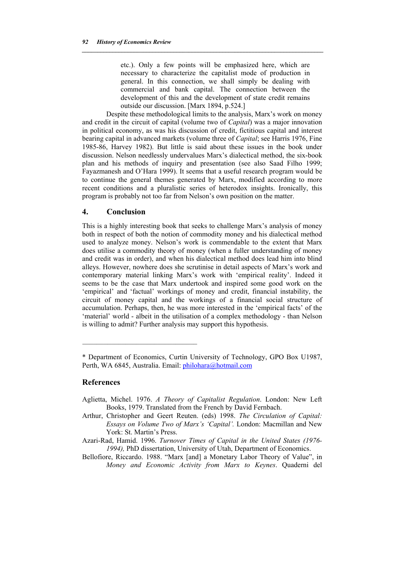etc.). Only a few points will be emphasized here, which are necessary to characterize the capitalist mode of production in general. In this connection, we shall simply be dealing with commercial and bank capital. The connection between the development of this and the development of state credit remains outside our discussion. [Marx 1894, p.524.]

Despite these methodological limits to the analysis, Marx's work on money and credit in the circuit of capital (volume two of *Capital*) was a major innovation in political economy, as was his discussion of credit, fictitious capital and interest bearing capital in advanced markets (volume three of *Capital*; see Harris 1976, Fine 1985-86, Harvey 1982). But little is said about these issues in the book under discussion. Nelson needlessly undervalues Marx's dialectical method, the six-book plan and his methods of inquiry and presentation (see also Saad Filho 1999; Fayazmanesh and O'Hara 1999). It seems that a useful research program would be to continue the general themes generated by Marx, modified according to more recent conditions and a pluralistic series of heterodox insights. Ironically, this program is probably not too far from Nelson's own position on the matter.

## **4. Conclusion**

This is a highly interesting book that seeks to challenge Marx's analysis of money both in respect of both the notion of commodity money and his dialectical method used to analyze money. Nelson's work is commendable to the extent that Marx does utilise a commodity theory of money (when a fuller understanding of money and credit was in order), and when his dialectical method does lead him into blind alleys. However, nowhere does she scrutinise in detail aspects of Marx's work and contemporary material linking Marx's work with 'empirical reality'. Indeed it seems to be the case that Marx undertook and inspired some good work on the 'empirical' and 'factual' workings of money and credit, financial instability, the circuit of money capital and the workings of a financial social structure of accumulation. Perhaps, then, he was more interested in the 'empirical facts' of the 'material' world - albeit in the utilisation of a complex methodology - than Nelson is willing to admit? Further analysis may support this hypothesis.

#### **References**

- Aglietta, Michel. 1976. *A Theory of Capitalist Regulation*. London: New Left Books, 1979. Translated from the French by David Fernbach.
- Arthur, Christopher and Geert Reuten. (eds) 1998. *The Circulation of Capital: Essays on Volume Two of Marx's 'Capital'.* London: Macmillan and New York: St. Martin's Press.
- Azari-Rad, Hamid. 1996. *Turnover Times of Capital in the United States (1976- 1994),* PhD dissertation, University of Utah, Department of Economics.
- Bellofiore, Riccardo. 1988. "Marx [and] a Monetary Labor Theory of Value", in *Money and Economic Activity from Marx to Keynes*. Quaderni del

<sup>\*</sup> Department of Economics, Curtin University of Technology, GPO Box U1987, Perth, WA 6845, Australia. Email: philohara@hotmail.com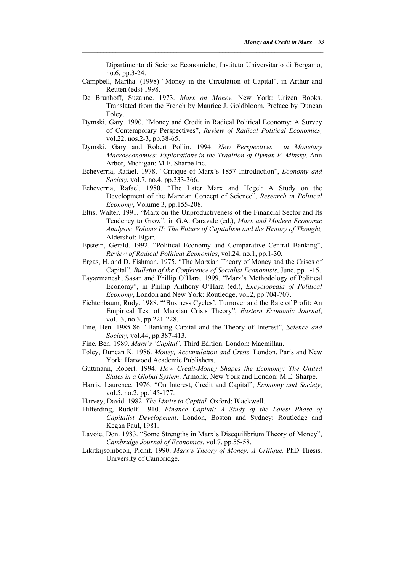Dipartimento di Scienze Economiche, Instituto Universitario di Bergamo, no.6, pp.3-24.

- Campbell, Martha. (1998) "Money in the Circulation of Capital", in Arthur and Reuten (eds) 1998.
- De Brunhoff, Suzanne. 1973. *Marx on Money.* New York: Urizen Books. Translated from the French by Maurice J. Goldbloom. Preface by Duncan Foley.
- Dymski, Gary. 1990. "Money and Credit in Radical Political Economy: A Survey of Contemporary Perspectives", *Review of Radical Political Economics,* vol.22, nos.2-3, pp.38-65.
- Dymski, Gary and Robert Pollin. 1994. *New Perspectives in Monetary Macroeconomics: Explorations in the Tradition of Hyman P. Minsky*. Ann Arbor, Michigan: M.E. Sharpe Inc.
- Echeverria, Rafael. 1978. "Critique of Marx's 1857 Introduction", *Economy and Society*, vol.7, no.4, pp.333-366.
- Echeverria, Rafael. 1980. "The Later Marx and Hegel: A Study on the Development of the Marxian Concept of Science", *Research in Political Economy*, Volume 3, pp.155-208.
- Eltis, Walter. 1991. "Marx on the Unproductiveness of the Financial Sector and Its Tendency to Grow", in G.A. Caravale (ed.), *Marx and Modern Economic Analysis: Volume II: The Future of Capitalism and the History of Thought,* Aldershot: Elgar.
- Epstein, Gerald. 1992. "Political Economy and Comparative Central Banking", *Review of Radical Political Economics*, vol.24, no.1, pp.1-30.
- Ergas, H. and D. Fishman. 1975. "The Marxian Theory of Money and the Crises of Capital", *Bulletin of the Conference of Socialist Economists*, June, pp.1-15.
- Fayazmanesh, Sasan and Phillip O'Hara. 1999. "Marx's Methodology of Political Economy", in Phillip Anthony O'Hara (ed.), *Encyclopedia of Political Economy*, London and New York: Routledge, vol.2, pp.704-707.
- Fichtenbaum, Rudy. 1988. "'Business Cycles', Turnover and the Rate of Profit: An Empirical Test of Marxian Crisis Theory", *Eastern Economic Journal*, vol.13, no.3, pp.221-228.
- Fine, Ben. 1985-86. "Banking Capital and the Theory of Interest", *Science and Society,* vol.44, pp.387-413.
- Fine, Ben. 1989. *Marx's 'Capital'*. Third Edition. London: Macmillan.
- Foley, Duncan K. 1986. *Money, Accumulation and Crisis.* London, Paris and New York: Harwood Academic Publishers.
- Guttmann, Robert. 1994. *How Credit-Money Shapes the Economy: The United States in a Global System*. Armonk, New York and London: M.E. Sharpe.
- Harris, Laurence. 1976. "On Interest, Credit and Capital", *Economy and Society*, vol.5, no.2, pp.145-177.
- Harvey, David. 1982. *The Limits to Capital.* Oxford: Blackwell.
- Hilferding, Rudolf. 1910. *Finance Capital: A Study of the Latest Phase of Capitalist Development*. London, Boston and Sydney: Routledge and Kegan Paul, 1981.
- Lavoie, Don. 1983. "Some Strengths in Marx's Disequilibrium Theory of Money", *Cambridge Journal of Economics*, vol.7, pp.55-58.
- Likitkijsomboon, Pichit. 1990. *Marx's Theory of Money: A Critique.* PhD Thesis. University of Cambridge.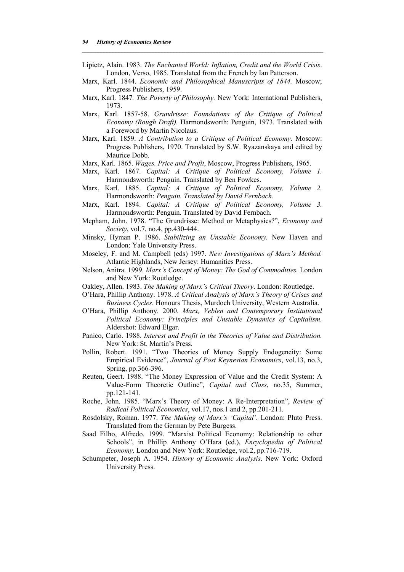- Lipietz, Alain. 1983. *The Enchanted World: Inflation, Credit and the World Crisis*. London, Verso, 1985. Translated from the French by Ian Patterson.
- Marx, Karl. 1844. *Economic and Philosophical Manuscripts of 1844.* Moscow; Progress Publishers, 1959.
- Marx, Karl. 1847*. The Poverty of Philosophy.* New York: International Publishers, 1973.
- Marx, Karl. 1857-58. *Grundrisse: Foundations of the Critique of Political Economy (Rough Draft).* Harmondsworth: Penguin, 1973. Translated with a Foreword by Martin Nicolaus.
- Marx, Karl. 1859. *A Contribution to a Critique of Political Economy.* Moscow: Progress Publishers, 1970. Translated by S.W. Ryazanskaya and edited by Maurice Dobb.
- Marx, Karl. 1865. *Wages, Price and Profit*, Moscow, Progress Publishers, 1965.
- Marx, Karl. 1867. *Capital: A Critique of Political Economy, Volume 1.* Harmondsworth: Penguin. Translated by Ben Fowkes.
- Marx, Karl. 1885. *Capital: A Critique of Political Economy, Volume 2.* Harmondsworth: *Penguin. Translated by David Fernbach.*
- Marx, Karl. 1894. *Capital: A Critique of Political Economy, Volume 3.* Harmondsworth: Penguin. Translated by David Fernbach.
- Mepham, John. 1978. "The Grundrisse: Method or Metaphysics?", *Economy and Society*, vol.7, no.4, pp.430-444.
- Minsky, Hyman P. 1986. *Stabilizing an Unstable Economy.* New Haven and London: Yale University Press.
- Moseley, F. and M. Campbell (eds) 1997. *New Investigations of Marx's Method.*  Atlantic Highlands, New Jersey: Humanities Press.
- Nelson, Anitra. 1999. *Marx's Concept of Money: The God of Commodities.* London and New York: Routledge.
- Oakley, Allen. 1983. *The Making of Marx's Critical Theory*. London: Routledge.
- O'Hara, Phillip Anthony. 1978. *A Critical Analysis of Marx's Theory of Crises and Business Cycles*. Honours Thesis, Murdoch University, Western Australia.
- O'Hara, Phillip Anthony. 2000. *Marx, Veblen and Contemporary Institutional Political Economy: Principles and Unstable Dynamics of Capitalism.* Aldershot: Edward Elgar.
- Panico, Carlo. 1988. *Interest and Profit in the Theories of Value and Distribution.* New York: St. Martin's Press.
- Pollin, Robert. 1991. "Two Theories of Money Supply Endogeneity: Some Empirical Evidence", *Journal of Post Keynesian Economics*, vol.13, no.3, Spring, pp.366-396.
- Reuten, Geert. 1988. "The Money Expression of Value and the Credit System: A Value-Form Theoretic Outline", *Capital and Class*, no.35, Summer, pp.121-141.
- Roche, John. 1985. "Marx's Theory of Money: A Re-Interpretation", *Review of Radical Political Economics*, vol.17, nos.1 and 2, pp.201-211.
- Rosdolsky, Roman. 1977. *The Making of Marx's 'Capital'.* London: Pluto Press. Translated from the German by Pete Burgess.
- Saad Filho, Alfredo. 1999. "Marxist Political Economy: Relationship to other Schools", in Phillip Anthony O'Hara (ed.), *Encyclopedia of Political Economy,* London and New York: Routledge, vol.2, pp.716-719.
- Schumpeter, Joseph A. 1954. *History of Economic Analysis*. New York: Oxford University Press.